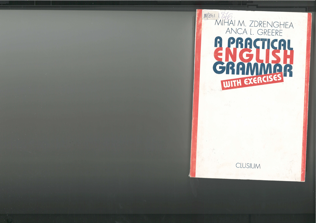# $81/241$ MITAI M. ZDRENGHEA ANCA L. GREERE G PRESIGNER ENGLI GRAMMER

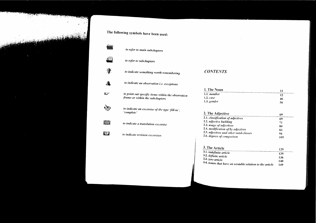# **CONTENTS**

| 1. The Noun        |    |
|--------------------|----|
| 1.1. <i>number</i> |    |
| $1.2. \; case$     | 46 |
| $1.3.$ gender      | 56 |

 $\mathcal{L}(\mathcal{L}^{\mathcal{L}})$  and  $\mathcal{L}(\mathcal{L}^{\mathcal{L}})$  and  $\mathcal{L}(\mathcal{L}^{\mathcal{L}})$ 

| 2. The Adjective                       | 69  |
|----------------------------------------|-----|
| 2.1. classification of adjectives      | 69  |
| 2.2. adjective building                | 71  |
| 2.3. usage of adjectives               | 80  |
| 2.4. modification of/by adjectives     | 83  |
| 2.5. adjectives and other word-classes | 94  |
| 2.6. degrees of comparison             | 105 |

# 3. The Article

| <sup>5.</sup> The Article                                | 129 |
|----------------------------------------------------------|-----|
| 3.1. indefinite article                                  | 129 |
| 3.2. definite article<br>3.3. zero article               | 136 |
|                                                          | 140 |
| 3.4. nouns that have an unstable relation to the article | 149 |